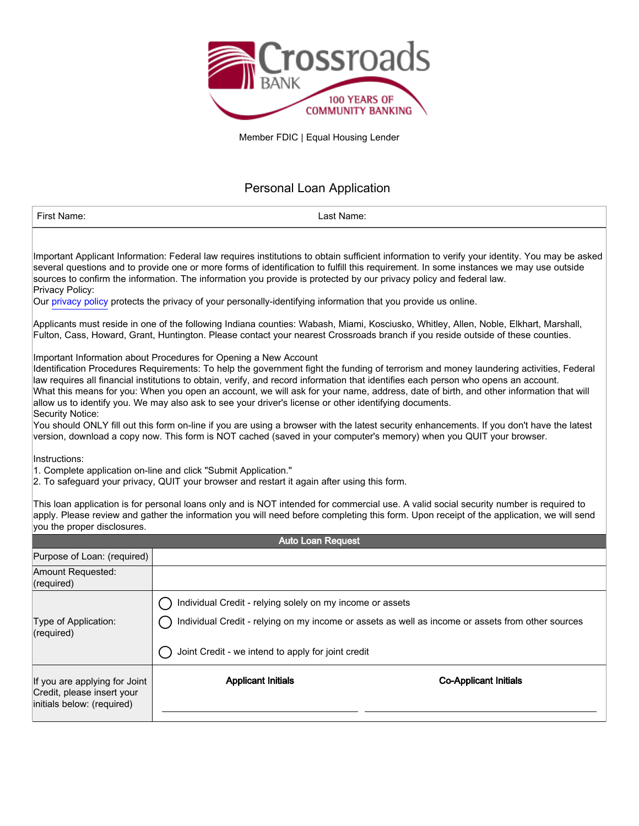

Member FDIC | Equal Housing Lender

## Personal Loan Application

| First Name:                                                                                                                                                                                                                                                                                                                                                                                                                                                                                                                                                                                                                                                                                                                                                                                                                                                                                                                                                                                                                                                                                                                                                                                                                                                                                                                                                                                                                                                                                                                                                                                                                                                                                                                                                                                                        | Last Name:                                                                                                      |                                                                                                                                                                                                                                                                                    |  |  |  |
|--------------------------------------------------------------------------------------------------------------------------------------------------------------------------------------------------------------------------------------------------------------------------------------------------------------------------------------------------------------------------------------------------------------------------------------------------------------------------------------------------------------------------------------------------------------------------------------------------------------------------------------------------------------------------------------------------------------------------------------------------------------------------------------------------------------------------------------------------------------------------------------------------------------------------------------------------------------------------------------------------------------------------------------------------------------------------------------------------------------------------------------------------------------------------------------------------------------------------------------------------------------------------------------------------------------------------------------------------------------------------------------------------------------------------------------------------------------------------------------------------------------------------------------------------------------------------------------------------------------------------------------------------------------------------------------------------------------------------------------------------------------------------------------------------------------------|-----------------------------------------------------------------------------------------------------------------|------------------------------------------------------------------------------------------------------------------------------------------------------------------------------------------------------------------------------------------------------------------------------------|--|--|--|
| Important Applicant Information: Federal law requires institutions to obtain sufficient information to verify your identity. You may be asked<br>several questions and to provide one or more forms of identification to fulfill this requirement. In some instances we may use outside<br>sources to confirm the information. The information you provide is protected by our privacy policy and federal law.<br>Privacy Policy:<br>Our privacy policy protects the privacy of your personally-identifying information that you provide us online.<br>Applicants must reside in one of the following Indiana counties: Wabash, Miami, Kosciusko, Whitley, Allen, Noble, Elkhart, Marshall,<br>Fulton, Cass, Howard, Grant, Huntington. Please contact your nearest Crossroads branch if you reside outside of these counties.<br>Important Information about Procedures for Opening a New Account<br>Identification Procedures Requirements: To help the government fight the funding of terrorism and money laundering activities, Federal<br>law requires all financial institutions to obtain, verify, and record information that identifies each person who opens an account.<br>What this means for you: When you open an account, we will ask for your name, address, date of birth, and other information that will<br>allow us to identify you. We may also ask to see your driver's license or other identifying documents.<br>Security Notice:<br>You should ONLY fill out this form on-line if you are using a browser with the latest security enhancements. If you don't have the latest<br>version, download a copy now. This form is NOT cached (saved in your computer's memory) when you QUIT your browser.<br>Instructions:<br>1. Complete application on-line and click "Submit Application." |                                                                                                                 |                                                                                                                                                                                                                                                                                    |  |  |  |
| you the proper disclosures.                                                                                                                                                                                                                                                                                                                                                                                                                                                                                                                                                                                                                                                                                                                                                                                                                                                                                                                                                                                                                                                                                                                                                                                                                                                                                                                                                                                                                                                                                                                                                                                                                                                                                                                                                                                        |                                                                                                                 | This loan application is for personal loans only and is NOT intended for commercial use. A valid social security number is required to<br>apply. Please review and gather the information you will need before completing this form. Upon receipt of the application, we will send |  |  |  |
|                                                                                                                                                                                                                                                                                                                                                                                                                                                                                                                                                                                                                                                                                                                                                                                                                                                                                                                                                                                                                                                                                                                                                                                                                                                                                                                                                                                                                                                                                                                                                                                                                                                                                                                                                                                                                    | <b>Auto Loan Request</b>                                                                                        |                                                                                                                                                                                                                                                                                    |  |  |  |
| Purpose of Loan: (required)                                                                                                                                                                                                                                                                                                                                                                                                                                                                                                                                                                                                                                                                                                                                                                                                                                                                                                                                                                                                                                                                                                                                                                                                                                                                                                                                                                                                                                                                                                                                                                                                                                                                                                                                                                                        |                                                                                                                 |                                                                                                                                                                                                                                                                                    |  |  |  |
| Amount Requested:<br>(required)                                                                                                                                                                                                                                                                                                                                                                                                                                                                                                                                                                                                                                                                                                                                                                                                                                                                                                                                                                                                                                                                                                                                                                                                                                                                                                                                                                                                                                                                                                                                                                                                                                                                                                                                                                                    |                                                                                                                 |                                                                                                                                                                                                                                                                                    |  |  |  |
| Type of Application:<br>(required)                                                                                                                                                                                                                                                                                                                                                                                                                                                                                                                                                                                                                                                                                                                                                                                                                                                                                                                                                                                                                                                                                                                                                                                                                                                                                                                                                                                                                                                                                                                                                                                                                                                                                                                                                                                 | Individual Credit - relying solely on my income or assets<br>Joint Credit - we intend to apply for joint credit | Individual Credit - relying on my income or assets as well as income or assets from other sources                                                                                                                                                                                  |  |  |  |
| If you are applying for Joint<br>Credit, please insert your<br>initials below: (required)                                                                                                                                                                                                                                                                                                                                                                                                                                                                                                                                                                                                                                                                                                                                                                                                                                                                                                                                                                                                                                                                                                                                                                                                                                                                                                                                                                                                                                                                                                                                                                                                                                                                                                                          | <b>Applicant Initials</b><br><b>Co-Applicant Initials</b>                                                       |                                                                                                                                                                                                                                                                                    |  |  |  |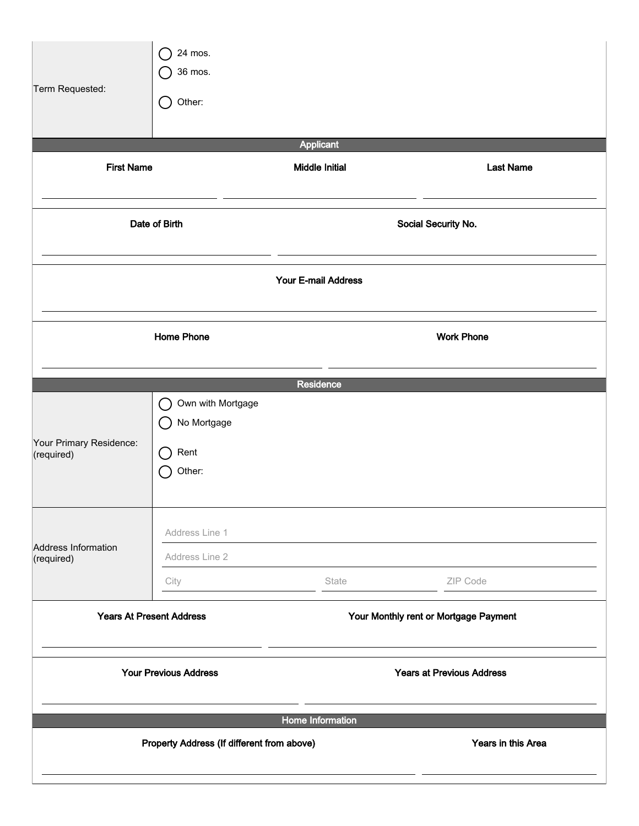| Term Requested:                                                          | 24 mos.<br>36 mos.<br>Other:<br>$(\ )$                                                |                       |                     |  |  |
|--------------------------------------------------------------------------|---------------------------------------------------------------------------------------|-----------------------|---------------------|--|--|
|                                                                          |                                                                                       | <b>Applicant</b>      |                     |  |  |
| <b>First Name</b>                                                        |                                                                                       | <b>Middle Initial</b> | <b>Last Name</b>    |  |  |
| Date of Birth                                                            |                                                                                       |                       | Social Security No. |  |  |
|                                                                          | Your E-mail Address                                                                   |                       |                     |  |  |
|                                                                          | <b>Home Phone</b>                                                                     |                       | <b>Work Phone</b>   |  |  |
|                                                                          |                                                                                       | Residence             |                     |  |  |
| Your Primary Residence:<br>(required)                                    | Own with Mortgage<br>$\overline{C}$<br>No Mortgage<br>C .<br>Rent<br>$(\ )$<br>Other: |                       |                     |  |  |
| <b>Address Information</b><br>(required)                                 | Address Line 1<br>Address Line 2                                                      |                       |                     |  |  |
|                                                                          | City                                                                                  | State                 | ZIP Code            |  |  |
| <b>Years At Present Address</b><br>Your Monthly rent or Mortgage Payment |                                                                                       |                       |                     |  |  |
| <b>Your Previous Address</b><br><b>Years at Previous Address</b>         |                                                                                       |                       |                     |  |  |
|                                                                          | Home Information<br>Property Address (If different from above)<br>Years in this Area  |                       |                     |  |  |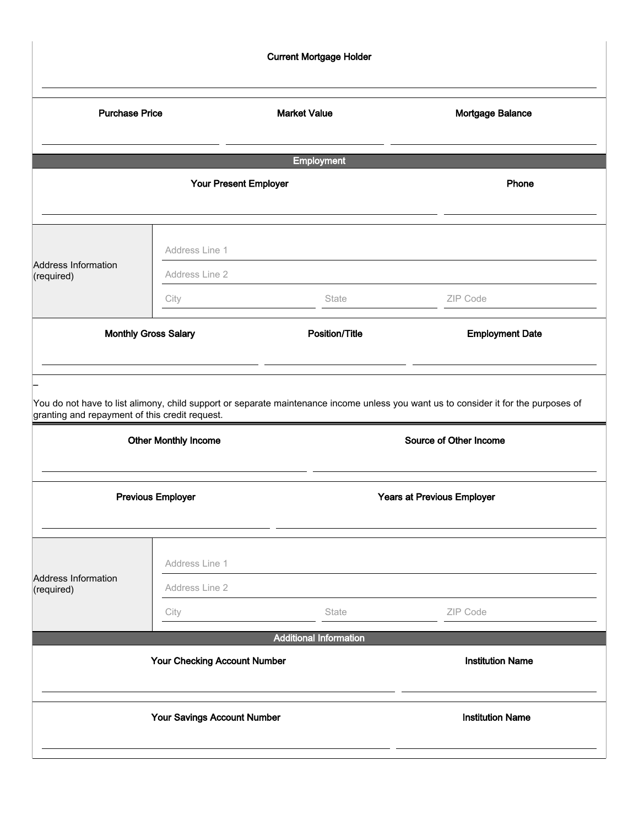| <b>Current Mortgage Holder</b> |                              |                               |                                   |  |  |
|--------------------------------|------------------------------|-------------------------------|-----------------------------------|--|--|
| <b>Purchase Price</b>          |                              | <b>Market Value</b>           | Mortgage Balance                  |  |  |
|                                |                              | <b>Employment</b>             |                                   |  |  |
| Your Present Employer          |                              |                               | Phone                             |  |  |
| Address Information            | Address Line 1               |                               |                                   |  |  |
| (required)                     | Address Line 2<br>City       | State                         | ZIP Code                          |  |  |
|                                | Monthly Gross Salary         | <b>Position/Title</b>         | <b>Employment Date</b>            |  |  |
|                                | <b>Other Monthly Income</b>  |                               | Source of Other Income            |  |  |
| <b>Previous Employer</b>       |                              |                               | <b>Years at Previous Employer</b> |  |  |
| Address Information            | Address Line 1               |                               |                                   |  |  |
| (required)                     | Address Line 2<br>City       | State                         | ZIP Code                          |  |  |
|                                |                              | <b>Additional Information</b> |                                   |  |  |
|                                | Your Checking Account Number |                               | <b>Institution Name</b>           |  |  |
|                                | Your Savings Account Number  |                               | <b>Institution Name</b>           |  |  |
|                                |                              |                               |                                   |  |  |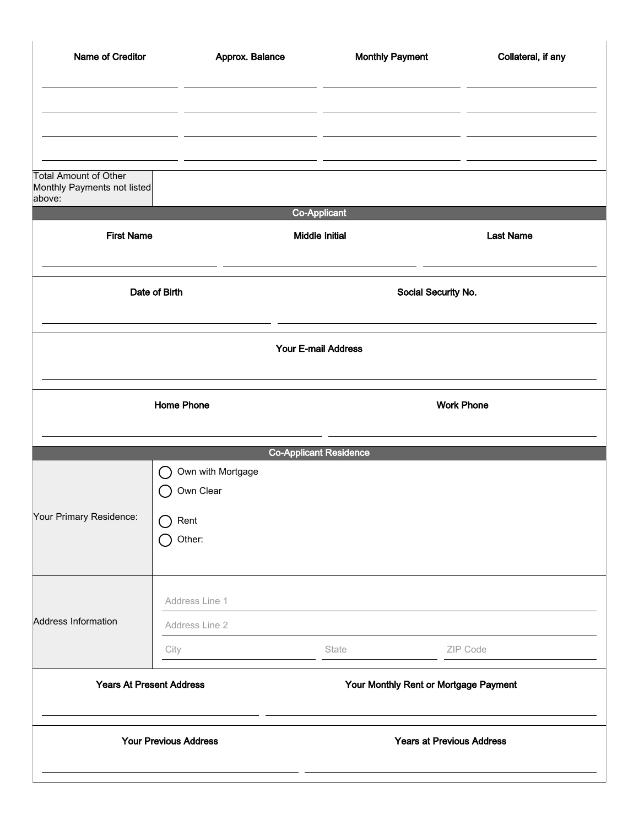| Name of Creditor                                                      | Approx. Balance                |                               | <b>Monthly Payment</b>                | Collateral, if any |  |
|-----------------------------------------------------------------------|--------------------------------|-------------------------------|---------------------------------------|--------------------|--|
|                                                                       |                                |                               |                                       |                    |  |
|                                                                       |                                |                               |                                       |                    |  |
| <b>Total Amount of Other</b><br>Monthly Payments not listed<br>above: |                                |                               |                                       |                    |  |
|                                                                       |                                | Co-Applicant                  |                                       |                    |  |
| <b>First Name</b>                                                     |                                | <b>Middle Initial</b>         |                                       | <b>Last Name</b>   |  |
| Date of Birth                                                         |                                | Social Security No.           |                                       |                    |  |
|                                                                       |                                | <b>Your E-mail Address</b>    |                                       |                    |  |
| <b>Home Phone</b>                                                     |                                |                               | <b>Work Phone</b>                     |                    |  |
|                                                                       |                                | <b>Co-Applicant Residence</b> |                                       |                    |  |
|                                                                       | Own with Mortgage<br>Own Clear |                               |                                       |                    |  |
| Your Primary Residence:                                               | Rent<br>Other:                 |                               |                                       |                    |  |
| Address Information                                                   | Address Line 1                 |                               |                                       |                    |  |
|                                                                       | Address Line 2                 |                               |                                       |                    |  |
|                                                                       | City                           | State                         |                                       | ZIP Code           |  |
| <b>Years At Present Address</b>                                       |                                |                               | Your Monthly Rent or Mortgage Payment |                    |  |
| <b>Your Previous Address</b>                                          |                                |                               | <b>Years at Previous Address</b>      |                    |  |
|                                                                       |                                |                               |                                       |                    |  |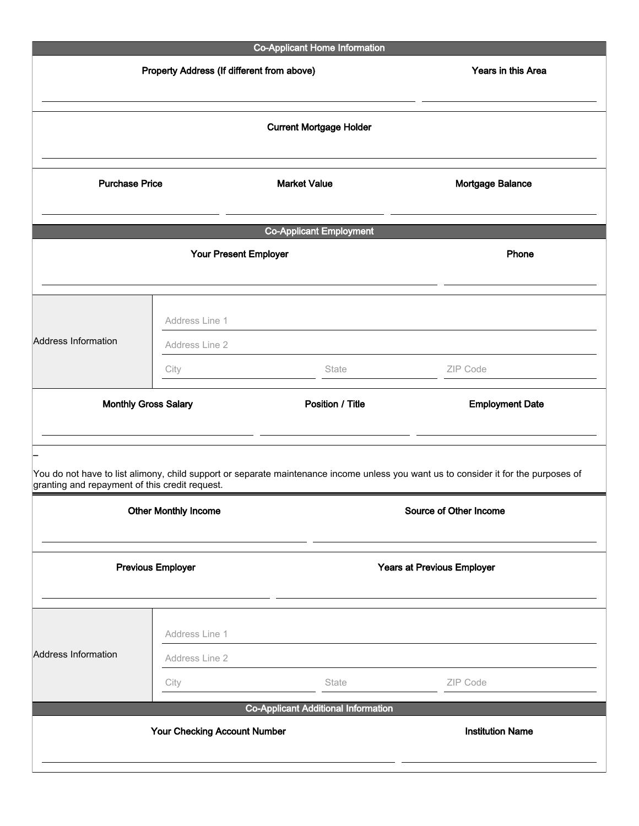| <b>Co-Applicant Home Information</b>                                                                                                |                                     |                                            |                         |  |  |
|-------------------------------------------------------------------------------------------------------------------------------------|-------------------------------------|--------------------------------------------|-------------------------|--|--|
| Property Address (If different from above)                                                                                          |                                     |                                            | Years in this Area      |  |  |
| <b>Current Mortgage Holder</b>                                                                                                      |                                     |                                            |                         |  |  |
| <b>Purchase Price</b>                                                                                                               |                                     | <b>Market Value</b><br>Mortgage Balance    |                         |  |  |
|                                                                                                                                     |                                     | <b>Co-Applicant Employment</b>             |                         |  |  |
| Your Present Employer                                                                                                               |                                     |                                            | Phone                   |  |  |
|                                                                                                                                     | Address Line 1                      |                                            |                         |  |  |
| Address Information                                                                                                                 | Address Line 2                      |                                            |                         |  |  |
|                                                                                                                                     | City                                | State                                      | ZIP Code                |  |  |
| <b>Monthly Gross Salary</b>                                                                                                         |                                     | Position / Title                           | <b>Employment Date</b>  |  |  |
| You do not have to list alimony, child support or separate maintenance income unless you want us to consider it for the purposes of |                                     |                                            |                         |  |  |
| granting and repayment of this credit request.<br><b>Other Monthly Income</b><br>Source of Other Income                             |                                     |                                            |                         |  |  |
| <b>Previous Employer</b>                                                                                                            |                                     | <b>Years at Previous Employer</b>          |                         |  |  |
|                                                                                                                                     | Address Line 1                      |                                            |                         |  |  |
| <b>Address Information</b>                                                                                                          | Address Line 2                      |                                            |                         |  |  |
|                                                                                                                                     | City                                | State                                      | ZIP Code                |  |  |
|                                                                                                                                     | <b>Your Checking Account Number</b> | <b>Co-Applicant Additional Information</b> | <b>Institution Name</b> |  |  |
|                                                                                                                                     |                                     |                                            |                         |  |  |